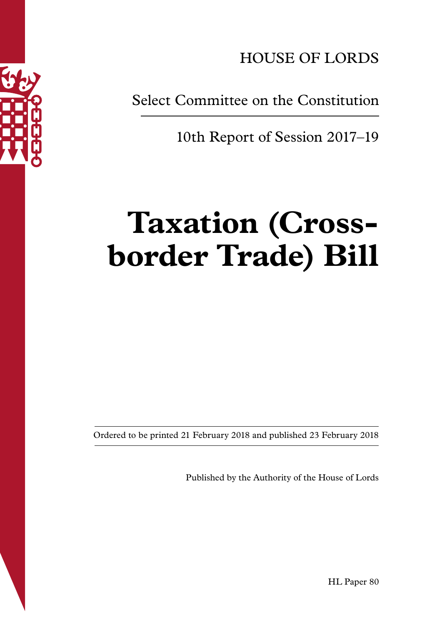

HOUSE OF LORDS

Select Committee on the Constitution

10th Report of Session 2017–19

# **Taxation (Crossborder Trade) Bill**

Ordered to be printed 21 February 2018 and published 23 February 2018

Published by the Authority of the House of Lords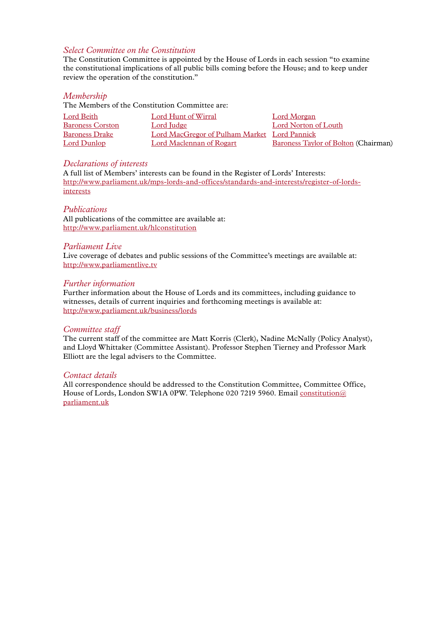#### *Select Committee on the Constitution*

The Constitution Committee is appointed by the House of Lords in each session "to examine the constitutional implications of all public bills coming before the House; and to keep under review the operation of the constitution."

#### *Membership*

The Members of the Constitution Committee are:

| Lord Beith              | Lord Hunt of Wirral                          | Lord Morgan                          |
|-------------------------|----------------------------------------------|--------------------------------------|
| <b>Baroness Corston</b> | Lord Judge                                   | Lord Norton of Louth                 |
| <b>Baroness Drake</b>   | Lord MacGregor of Pulham Market Lord Pannick |                                      |
| Lord Dunlop             | Lord Maclennan of Rogart                     | Baroness Taylor of Bolton (Chairman) |

#### *Declarations of interests*

A full list of Members' interests can be found in the Register of Lords' Interests: [http://www.parliament.uk/mps-lords-and-offices/standards-and-interests/register-of-lords](http://www.parliament.uk/mps-lords-and-offices/standards-and-interests/register-of-lords-interests)[interests](http://www.parliament.uk/mps-lords-and-offices/standards-and-interests/register-of-lords-interests)

#### *Publications*

All publications of the committee are available at: <http://www.parliament.uk/hlconstitution>

#### *Parliament Live*

Live coverage of debates and public sessions of the Committee's meetings are available at: <http://www.parliamentlive.tv>

#### *Further information*

Further information about the House of Lords and its committees, including guidance to witnesses, details of current inquiries and forthcoming meetings is available at: <http://www.parliament.uk/business/lords>

#### *Committee staff*

The current staff of the committee are Matt Korris (Clerk), Nadine McNally (Policy Analyst), and Lloyd Whittaker (Committee Assistant). Professor Stephen Tierney and Professor Mark Elliott are the legal advisers to the Committee.

#### *Contact details*

All correspondence should be addressed to the Constitution Committee, Committee Office, House of Lords, London SW1A 0PW. Telephone 020 7219 5960. Email [constitution@](mailto:constitution@parliament.uk) [parliament.uk](mailto:constitution@parliament.uk)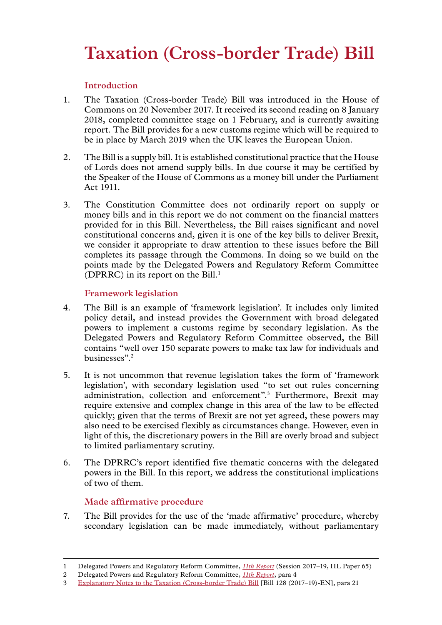# **Taxation (Cross-border Trade) Bill**

# **Introduction**

- 1. The Taxation (Cross-border Trade) Bill was introduced in the House of Commons on 20 November 2017. It received its second reading on 8 January 2018, completed committee stage on 1 February, and is currently awaiting report. The Bill provides for a new customs regime which will be required to be in place by March 2019 when the UK leaves the European Union.
- 2. The Bill is a supply bill. It is established constitutional practice that the House of Lords does not amend supply bills. In due course it may be certified by the Speaker of the House of Commons as a money bill under the Parliament Act 1911.
- 3. The Constitution Committee does not ordinarily report on supply or money bills and in this report we do not comment on the financial matters provided for in this Bill. Nevertheless, the Bill raises significant and novel constitutional concerns and, given it is one of the key bills to deliver Brexit, we consider it appropriate to draw attention to these issues before the Bill completes its passage through the Commons. In doing so we build on the points made by the Delegated Powers and Regulatory Reform Committee (DPRRC) in its report on the  $Bi11<sup>1</sup>$

# **Framework legislation**

- 4. The Bill is an example of 'framework legislation'. It includes only limited policy detail, and instead provides the Government with broad delegated powers to implement a customs regime by secondary legislation. As the Delegated Powers and Regulatory Reform Committee observed, the Bill contains "well over 150 separate powers to make tax law for individuals and businesses".2
- 5. It is not uncommon that revenue legislation takes the form of 'framework legislation', with secondary legislation used "to set out rules concerning administration, collection and enforcement".<sup>3</sup> Furthermore, Brexit may require extensive and complex change in this area of the law to be effected quickly; given that the terms of Brexit are not yet agreed, these powers may also need to be exercised flexibly as circumstances change. However, even in light of this, the discretionary powers in the Bill are overly broad and subject to limited parliamentary scrutiny.
- 6. The DPRRC's report identified five thematic concerns with the delegated powers in the Bill. In this report, we address the constitutional implications of two of them.

# **Made affirmative procedure**

7. The Bill provides for the use of the 'made affirmative' procedure, whereby secondary legislation can be made immediately, without parliamentary

<sup>1</sup> Delegated Powers and Regulatory Reform Committee, *[11th](https://publications.parliament.uk/pa/ld201719/ldselect/lddelreg/65/6502.htm) Report* (Session 2017–19, HL Paper 65)

<sup>2</sup> Delegated Powers and Regulatory Reform Committee, *[11th](https://publications.parliament.uk/pa/ld201719/ldselect/lddelreg/65/6502.htm) Report*, para 4

<sup>3</sup> [Explanatory Notes](https://publications.parliament.uk/pa/bills/cbill/2017-2019/0128/en/18128en01.htm) to the Taxation (Cross-border Trade) Bill [Bill 128 (2017–19)-EN], para 21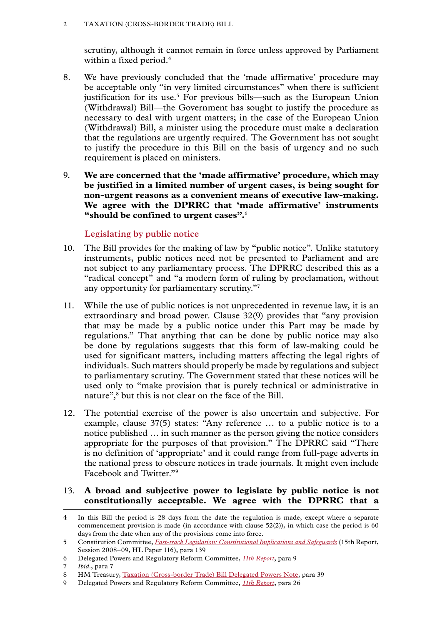scrutiny, although it cannot remain in force unless approved by Parliament within a fixed period.<sup>4</sup>

- 8. We have previously concluded that the 'made affirmative' procedure may be acceptable only "in very limited circumstances" when there is sufficient justification for its use.<sup>5</sup> For previous bills—such as the European Union (Withdrawal) Bill—the Government has sought to justify the procedure as necessary to deal with urgent matters; in the case of the European Union (Withdrawal) Bill, a minister using the procedure must make a declaration that the regulations are urgently required. The Government has not sought to justify the procedure in this Bill on the basis of urgency and no such requirement is placed on ministers.
- 9. **We are concerned that the 'made affirmative' procedure, which may be justified in a limited number of urgent cases, is being sought for non-urgent reasons as a convenient means of executive law-making. We agree with the DPRRC that 'made affirmative' instruments "should be confined to urgent cases".**<sup>6</sup>

## **Legislating by public notice**

- 10. The Bill provides for the making of law by "public notice". Unlike statutory instruments, public notices need not be presented to Parliament and are not subject to any parliamentary process. The DPRRC described this as a "radical concept" and "a modern form of ruling by proclamation, without any opportunity for parliamentary scrutiny."7
- 11. While the use of public notices is not unprecedented in revenue law, it is an extraordinary and broad power. Clause 32(9) provides that "any provision that may be made by a public notice under this Part may be made by regulations." That anything that can be done by public notice may also be done by regulations suggests that this form of law-making could be used for significant matters, including matters affecting the legal rights of individuals. Such matters should properly be made by regulations and subject to parliamentary scrutiny. The Government stated that these notices will be used only to "make provision that is purely technical or administrative in nature",<sup>8</sup> but this is not clear on the face of the Bill.
- 12. The potential exercise of the power is also uncertain and subjective. For example, clause 37(5) states: "Any reference … to a public notice is to a notice published … in such manner as the person giving the notice considers appropriate for the purposes of that provision." The DPRRC said "There is no definition of 'appropriate' and it could range from full-page adverts in the national press to obscure notices in trade journals. It might even include Facebook and Twitter."9

### 13. **A broad and subjective power to legislate by public notice is not constitutionally acceptable. We agree with the DPRRC that a**

<sup>4</sup> In this Bill the period is 28 days from the date the regulation is made, except where a separate commencement provision is made (in accordance with clause  $52(2)$ ), in which case the period is 60 days from the date when any of the provisions come into force.

<sup>5</sup> Constitution Committee, *[Fast-track Legislation: Constitutional Implications and Safeguards](https://publications.parliament.uk/pa/ld200809/ldselect/ldconst/116/11602.htm)* (15th Report, Session 2008–09, HL Paper 116), para 139

<sup>6</sup> Delegated Powers and Regulatory Reform Committee, *[11th](https://publications.parliament.uk/pa/ld201719/ldselect/lddelreg/65/6502.htm) Report*, para 9

<sup>7</sup> *Ibid*., para 7

<sup>8</sup> HM Treasury, [Taxation \(Cross-border Trade\) Bill Delegated Powers Note,](https://publications.parliament.uk/pa/bills/cbill/2017-2019/0128/171121DelegatedPowers.pdf) para 39

<sup>9</sup> Delegated Powers and Regulatory Reform Committee, *[11th](https://publications.parliament.uk/pa/ld201719/ldselect/lddelreg/65/6502.htm) Report*, para 26